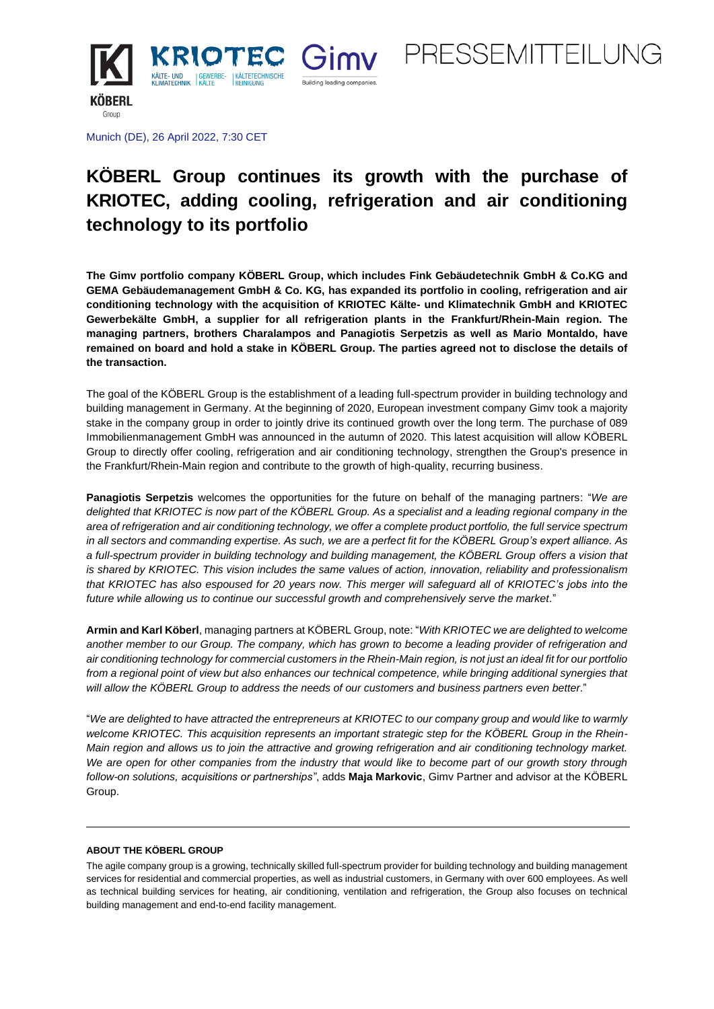



Munich (DE), 26 April 2022, 7:30 CET

# **KÖBERL Group continues its growth with the purchase of KRIOTEC, adding cooling, refrigeration and air conditioning technology to its portfolio**

**The Gimv portfolio company KÖBERL Group, which includes Fink Gebäudetechnik GmbH & Co.KG and GEMA Gebäudemanagement GmbH & Co. KG, has expanded its portfolio in cooling, refrigeration and air conditioning technology with the acquisition of KRIOTEC Kälte- und Klimatechnik GmbH and KRIOTEC Gewerbekälte GmbH, a supplier for all refrigeration plants in the Frankfurt/Rhein-Main region. The managing partners, brothers Charalampos and Panagiotis Serpetzis as well as Mario Montaldo, have remained on board and hold a stake in KÖBERL Group. The parties agreed not to disclose the details of the transaction.**

The goal of the KÖBERL Group is the establishment of a leading full-spectrum provider in building technology and building management in Germany. At the beginning of 2020, European investment company Gimv took a majority stake in the company group in order to jointly drive its continued growth over the long term. The purchase of 089 Immobilienmanagement GmbH was announced in the autumn of 2020. This latest acquisition will allow KÖBERL Group to directly offer cooling, refrigeration and air conditioning technology, strengthen the Group's presence in the Frankfurt/Rhein-Main region and contribute to the growth of high-quality, recurring business.

**Panagiotis Serpetzis** welcomes the opportunities for the future on behalf of the managing partners: "*We are delighted that KRIOTEC is now part of the KÖBERL Group. As a specialist and a leading regional company in the area of refrigeration and air conditioning technology, we offer a complete product portfolio, the full service spectrum in all sectors and commanding expertise. As such, we are a perfect fit for the KÖBERL Group's expert alliance. As a full-spectrum provider in building technology and building management, the KÖBERL Group offers a vision that is shared by KRIOTEC. This vision includes the same values of action, innovation, reliability and professionalism that KRIOTEC has also espoused for 20 years now. This merger will safeguard all of KRIOTEC's jobs into the future while allowing us to continue our successful growth and comprehensively serve the market.*"

**Armin and Karl Köberl**, managing partners at KÖBERL Group, note: "*With KRIOTEC we are delighted to welcome another member to our Group. The company, which has grown to become a leading provider of refrigeration and air conditioning technology for commercial customers in the Rhein-Main region, is not just an ideal fit for our portfolio from a regional point of view but also enhances our technical competence, while bringing additional synergies that will allow the KÖBERL Group to address the needs of our customers and business partners even better*."

"*We are delighted to have attracted the entrepreneurs at KRIOTEC to our company group and would like to warmly welcome KRIOTEC. This acquisition represents an important strategic step for the KÖBERL Group in the Rhein-Main region and allows us to join the attractive and growing refrigeration and air conditioning technology market. We are open for other companies from the industry that would like to become part of our growth story through follow-on solutions, acquisitions or partnerships"*, adds **Maja Markovic**, Gimv Partner and advisor at the KÖBERL Group.

## **ABOUT THE KÖBERL GROUP**

The agile company group is a growing, technically skilled full-spectrum provider for building technology and building management services for residential and commercial properties, as well as industrial customers, in Germany with over 600 employees. As well as technical building services for heating, air conditioning, ventilation and refrigeration, the Group also focuses on technical building management and end-to-end facility management.